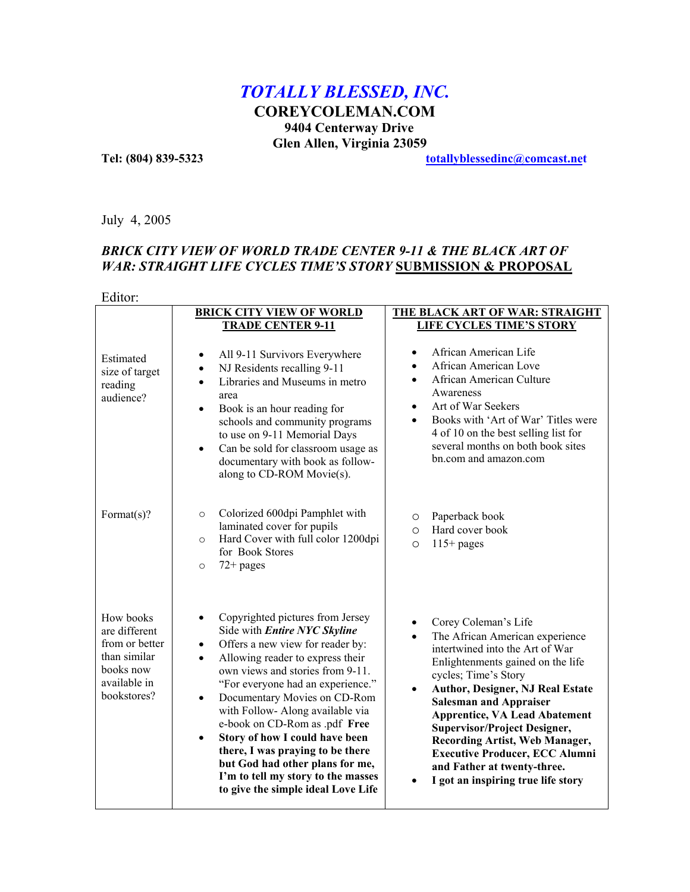# *TOTALLY BLESSED, INC.*

**COREYCOLEMAN.COM 9404 Centerway Drive Glen Allen, Virginia 23059**

**Tel: (804) 839-5323 [totallyblessedinc](mailto:webimages3000@comcast.net)@comcast.net**

July 4, 2005

## **BRICK CITY VIEW OF WORLD TRADE CENTER 9-11 & THE BLACK ART OF** *WAR: STRAIGHT LIFE CYCLES TIME'S STORY* **SUBMISSION & PROPOSAL**

### Editor:

|                                                                                                          | <b>BRICK CITY VIEW OF WORLD</b>                                                                                                                                                                                                                                                                                                                                                                                                                                                                                                                                             | THE BLACK ART OF WAR: STRAIGHT                                                                                                                                                                                                                                                                                                                                                                                                                                                                                 |
|----------------------------------------------------------------------------------------------------------|-----------------------------------------------------------------------------------------------------------------------------------------------------------------------------------------------------------------------------------------------------------------------------------------------------------------------------------------------------------------------------------------------------------------------------------------------------------------------------------------------------------------------------------------------------------------------------|----------------------------------------------------------------------------------------------------------------------------------------------------------------------------------------------------------------------------------------------------------------------------------------------------------------------------------------------------------------------------------------------------------------------------------------------------------------------------------------------------------------|
|                                                                                                          | <b>TRADE CENTER 9-11</b>                                                                                                                                                                                                                                                                                                                                                                                                                                                                                                                                                    | <b>LIFE CYCLES TIME'S STORY</b>                                                                                                                                                                                                                                                                                                                                                                                                                                                                                |
| Estimated<br>size of target<br>reading<br>audience?                                                      | All 9-11 Survivors Everywhere<br>٠<br>NJ Residents recalling 9-11<br>$\bullet$<br>Libraries and Museums in metro<br>$\bullet$<br>area<br>Book is an hour reading for<br>$\bullet$<br>schools and community programs<br>to use on 9-11 Memorial Days<br>Can be sold for classroom usage as<br>$\bullet$<br>documentary with book as follow-<br>along to CD-ROM Movie(s).                                                                                                                                                                                                     | African American Life<br>$\bullet$<br>African American Love<br>African American Culture<br>$\bullet$<br>Awareness<br>Art of War Seekers<br>$\bullet$<br>Books with 'Art of War' Titles were<br>4 of 10 on the best selling list for<br>several months on both book sites<br>bn.com and amazon.com                                                                                                                                                                                                              |
| Format $(s)$ ?                                                                                           | Colorized 600dpi Pamphlet with<br>$\circ$<br>laminated cover for pupils<br>Hard Cover with full color 1200dpi<br>$\circ$<br>for Book Stores<br>$72 + pages$<br>$\circ$                                                                                                                                                                                                                                                                                                                                                                                                      | Paperback book<br>O<br>Hard cover book<br>$\circ$<br>$115+$ pages<br>$\circ$                                                                                                                                                                                                                                                                                                                                                                                                                                   |
| How books<br>are different<br>from or better<br>than similar<br>books now<br>available in<br>bookstores? | Copyrighted pictures from Jersey<br>$\bullet$<br>Side with Entire NYC Skyline<br>Offers a new view for reader by:<br>$\bullet$<br>Allowing reader to express their<br>$\bullet$<br>own views and stories from 9-11.<br>"For everyone had an experience."<br>Documentary Movies on CD-Rom<br>$\bullet$<br>with Follow-Along available via<br>e-book on CD-Rom as .pdf Free<br>Story of how I could have been<br>$\bullet$<br>there, I was praying to be there<br>but God had other plans for me,<br>I'm to tell my story to the masses<br>to give the simple ideal Love Life | Corey Coleman's Life<br>٠<br>The African American experience<br>$\bullet$<br>intertwined into the Art of War<br>Enlightenments gained on the life<br>cycles; Time's Story<br><b>Author, Designer, NJ Real Estate</b><br>$\bullet$<br><b>Salesman and Appraiser</b><br><b>Apprentice, VA Lead Abatement</b><br><b>Supervisor/Project Designer,</b><br>Recording Artist, Web Manager,<br><b>Executive Producer, ECC Alumni</b><br>and Father at twenty-three.<br>I got an inspiring true life story<br>$\bullet$ |